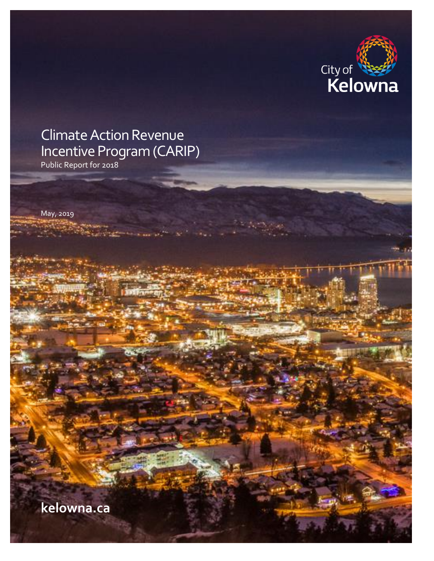

# Climate Action Revenue Incentive Program (CARIP)

Public Report for 2018

May, 2019

**kelowna.ca**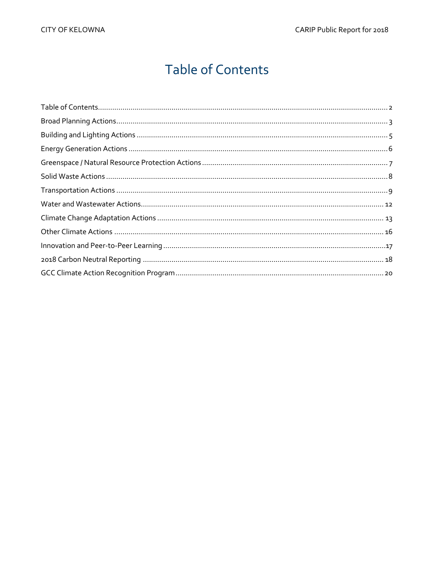## **Table of Contents**

<span id="page-1-0"></span>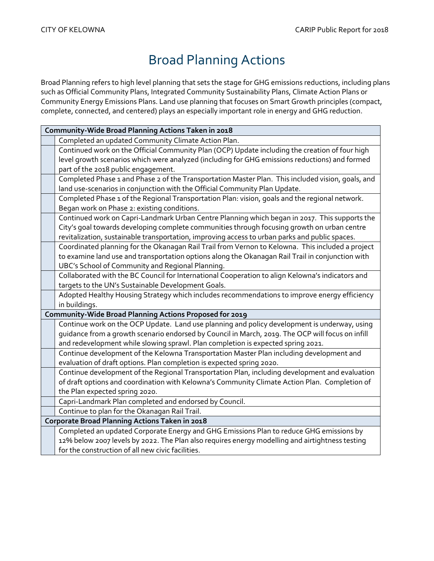## Broad Planning Actions

<span id="page-2-0"></span>Broad Planning refers to high level planning that sets the stage for GHG emissions reductions, including plans such as Official Community Plans, Integrated Community Sustainability Plans, Climate Action Plans or Community Energy Emissions Plans. Land use planning that focuses on Smart Growth principles (compact, complete, connected, and centered) plays an especially important role in energy and GHG reduction.

|                                                | Community-Wide Broad Planning Actions Taken in 2018                                               |
|------------------------------------------------|---------------------------------------------------------------------------------------------------|
|                                                | Completed an updated Community Climate Action Plan.                                               |
|                                                | Continued work on the Official Community Plan (OCP) Update including the creation of four high    |
|                                                | level growth scenarios which were analyzed (including for GHG emissions reductions) and formed    |
|                                                | part of the 2018 public engagement.                                                               |
|                                                | Completed Phase 1 and Phase 2 of the Transportation Master Plan. This included vision, goals, and |
|                                                | land use-scenarios in conjunction with the Official Community Plan Update.                        |
|                                                | Completed Phase 1 of the Regional Transportation Plan: vision, goals and the regional network.    |
|                                                | Began work on Phase 2: existing conditions.                                                       |
|                                                | Continued work on Capri-Landmark Urban Centre Planning which began in 2017. This supports the     |
|                                                | City's goal towards developing complete communities through focusing growth on urban centre       |
|                                                | revitalization, sustainable transportation, improving access to urban parks and public spaces.    |
|                                                | Coordinated planning for the Okanagan Rail Trail from Vernon to Kelowna. This included a project  |
|                                                | to examine land use and transportation options along the Okanagan Rail Trail in conjunction with  |
|                                                | UBC's School of Community and Regional Planning.                                                  |
|                                                | Collaborated with the BC Council for International Cooperation to align Kelowna's indicators and  |
|                                                | targets to the UN's Sustainable Development Goals.                                                |
|                                                | Adopted Healthy Housing Strategy which includes recommendations to improve energy efficiency      |
|                                                | in buildings.                                                                                     |
|                                                | Community-Wide Broad Planning Actions Proposed for 2019                                           |
|                                                | Continue work on the OCP Update. Land use planning and policy development is underway, using      |
|                                                | guidance from a growth scenario endorsed by Council in March, 2019. The OCP will focus on infill  |
|                                                | and redevelopment while slowing sprawl. Plan completion is expected spring 2021.                  |
|                                                | Continue development of the Kelowna Transportation Master Plan including development and          |
|                                                | evaluation of draft options. Plan completion is expected spring 2020.                             |
|                                                | Continue development of the Regional Transportation Plan, including development and evaluation    |
|                                                | of draft options and coordination with Kelowna's Community Climate Action Plan. Completion of     |
|                                                | the Plan expected spring 2020.                                                                    |
|                                                | Capri-Landmark Plan completed and endorsed by Council.                                            |
|                                                | Continue to plan for the Okanagan Rail Trail.                                                     |
| Corporate Broad Planning Actions Taken in 2018 |                                                                                                   |
|                                                | Completed an updated Corporate Energy and GHG Emissions Plan to reduce GHG emissions by           |
|                                                | 12% below 2007 levels by 2022. The Plan also requires energy modelling and airtightness testing   |
|                                                | for the construction of all new civic facilities.                                                 |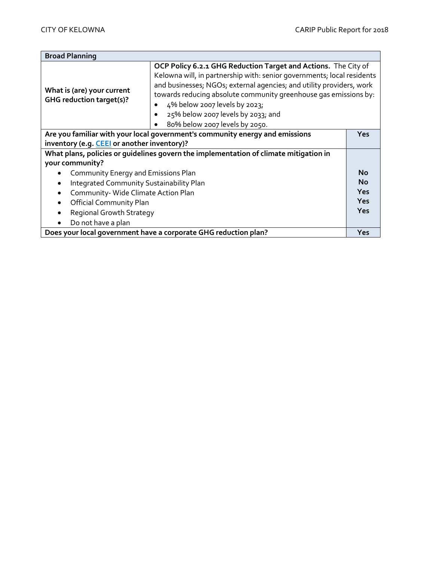| <b>Broad Planning</b>                                                                                                                     |                                                                                                                                                                                                                                                                                                                                                                                               |           |
|-------------------------------------------------------------------------------------------------------------------------------------------|-----------------------------------------------------------------------------------------------------------------------------------------------------------------------------------------------------------------------------------------------------------------------------------------------------------------------------------------------------------------------------------------------|-----------|
| What is (are) your current<br><b>GHG reduction target(s)?</b>                                                                             | OCP Policy 6.2.1 GHG Reduction Target and Actions. The City of<br>Kelowna will, in partnership with: senior governments; local residents<br>and businesses; NGOs; external agencies; and utility providers, work<br>towards reducing absolute community greenhouse gas emissions by:<br>4% below 2007 levels by 2023;<br>25% below 2007 levels by 2033; and<br>80% below 2007 levels by 2050. |           |
| Are you familiar with your local government's community energy and emissions<br><b>Yes</b><br>inventory (e.g. CEEI or another inventory)? |                                                                                                                                                                                                                                                                                                                                                                                               |           |
| What plans, policies or guidelines govern the implementation of climate mitigation in                                                     |                                                                                                                                                                                                                                                                                                                                                                                               |           |
| your community?                                                                                                                           |                                                                                                                                                                                                                                                                                                                                                                                               |           |
| Community Energy and Emissions Plan                                                                                                       |                                                                                                                                                                                                                                                                                                                                                                                               | <b>No</b> |
| Integrated Community Sustainability Plan                                                                                                  |                                                                                                                                                                                                                                                                                                                                                                                               | <b>No</b> |
| Community-Wide Climate Action Plan                                                                                                        |                                                                                                                                                                                                                                                                                                                                                                                               | Yes       |
| <b>Official Community Plan</b>                                                                                                            |                                                                                                                                                                                                                                                                                                                                                                                               | Yes       |
| <b>Regional Growth Strategy</b>                                                                                                           |                                                                                                                                                                                                                                                                                                                                                                                               | Yes       |
| Do not have a plan                                                                                                                        |                                                                                                                                                                                                                                                                                                                                                                                               |           |
| Does your local government have a corporate GHG reduction plan?                                                                           |                                                                                                                                                                                                                                                                                                                                                                                               | Yes       |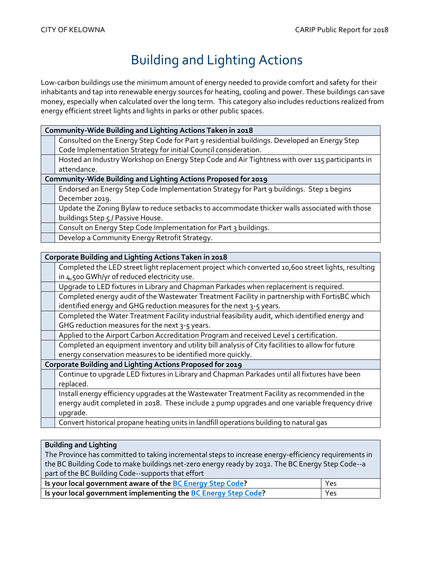# Building and Lighting Actions

<span id="page-4-0"></span>Low-carbon buildings use the minimum amount of energy needed to provide comfort and safety for their inhabitants and tap into renewable energy sources for heating, cooling and power. These buildings can save money, especially when calculated over the long term. This category also includes reductions realized from energy efficient street lights and lights in parks or other public spaces.

| Community-Wide Building and Lighting Actions Taken in 2018     |                                                                                                 |
|----------------------------------------------------------------|-------------------------------------------------------------------------------------------------|
|                                                                |                                                                                                 |
|                                                                | Consulted on the Energy Step Code for Part 9 residential buildings. Developed an Energy Step    |
|                                                                | Code Implementation Strategy for initial Council consideration.                                 |
|                                                                | Hosted an Industry Workshop on Energy Step Code and Air Tightness with over 115 participants in |
|                                                                | attendance.                                                                                     |
| Community-Wide Building and Lighting Actions Proposed for 2019 |                                                                                                 |
|                                                                | Endorsed an Energy Step Code Implementation Strategy for Part 9 buildings. Step 1 begins        |
|                                                                | December 2019.                                                                                  |
|                                                                | Update the Zoning Bylaw to reduce setbacks to accommodate thicker walls associated with those   |
|                                                                | buildings Step 5 / Passive House.                                                               |
|                                                                | Consult on Energy Step Code Implementation for Part 3 buildings.                                |
|                                                                | Develop a Community Energy Retrofit Strategy.                                                   |

| Corporate Building and Lighting Actions Taken in 2018                                              |  |
|----------------------------------------------------------------------------------------------------|--|
| Completed the LED street light replacement project which converted 10,600 street lights, resulting |  |
| in 4,500 GWh/yr of reduced electricity use.                                                        |  |
| Upgrade to LED fixtures in Library and Chapman Parkades when replacement is required.              |  |
| Completed energy audit of the Wastewater Treatment Facility in partnership with FortisBC which     |  |
| identified energy and GHG reduction measures for the next 3-5 years.                               |  |
| Completed the Water Treatment Facility industrial feasibility audit, which identified energy and   |  |
| GHG reduction measures for the next 3-5 years.                                                     |  |
| Applied to the Airport Carbon Accreditation Program and received Level 1 certification.            |  |
| Completed an equipment inventory and utility bill analysis of City facilities to allow for future  |  |
| energy conservation measures to be identified more quickly.                                        |  |
| Corporate Building and Lighting Actions Proposed for 2019                                          |  |
| Continue to upgrade LED fixtures in Library and Chapman Parkades until all fixtures have been      |  |
| replaced.                                                                                          |  |
| Install energy efficiency upgrades at the Wastewater Treatment Facility as recommended in the      |  |
| energy audit completed in 2018. These include 2 pump upgrades and one variable frequency drive     |  |
| upgrade.                                                                                           |  |
| Convert historical propane heating units in landfill operations building to natural gas            |  |

### **Building and Lighting**

The Province has committed to taking incremental steps to increase energy-efficiency requirements in the BC Building Code to make buildings net-zero energy ready by 2032. The BC Energy Step Code--a part of the BC Building Code--supports that effort

| Is your local government aware of the BC Energy Step Code?     | Yes |
|----------------------------------------------------------------|-----|
| Is your local government implementing the BC Energy Step Code? | Yes |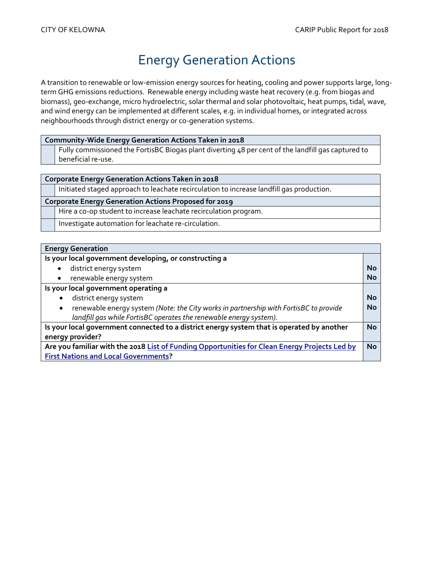## Energy Generation Actions

<span id="page-5-0"></span>A transition to renewable or low-emission energy sources for heating, cooling and power supports large, longterm GHG emissions reductions. Renewable energy including waste heat recovery (e.g. from biogas and biomass), geo-exchange, micro hydroelectric, solar thermal and solar photovoltaic, heat pumps, tidal, wave, and wind energy can be implemented at different scales, e.g. in individual homes, or integrated across neighbourhoods through district energy or co-generation systems.

### **Community-Wide Energy Generation Actions Taken in 2018**

Fully commissioned the FortisBC Biogas plant diverting 48 per cent of the landfill gas captured to beneficial re-use.

#### **Corporate Energy Generation Actions Taken in 2018**

Initiated staged approach to leachate recirculation to increase landfill gas production.

#### **Corporate Energy Generation Actions Proposed for 2019**

Hire a co-op student to increase leachate recirculation program.

Investigate automation for leachate re-circulation.

### **Energy Generation**

| <b>LIIGIYY OCHULGUUH</b>                                                                           |           |
|----------------------------------------------------------------------------------------------------|-----------|
| Is your local government developing, or constructing a                                             |           |
| district energy system                                                                             | <b>No</b> |
| renewable energy system<br>٠                                                                       | <b>No</b> |
| Is your local government operating a                                                               |           |
| district energy system                                                                             | <b>No</b> |
| renewable energy system (Note: the City works in partnership with FortisBC to provide<br>$\bullet$ | <b>No</b> |
| landfill gas while FortisBC operates the renewable energy system).                                 |           |
| Is your local government connected to a district energy system that is operated by another         |           |
| energy provider?                                                                                   |           |
| Are you familiar with the 2018 List of Funding Opportunities for Clean Energy Projects Led by      |           |
| <b>First Nations and Local Governments?</b>                                                        |           |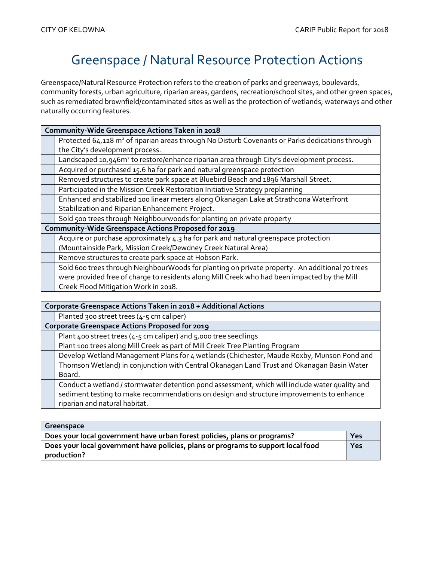## Greenspace / Natural Resource Protection Actions

<span id="page-6-0"></span>Greenspace/Natural Resource Protection refers to the creation of parks and greenways, boulevards, community forests, urban agriculture, riparian areas, gardens, recreation/school sites, and other green spaces, such as remediated brownfield/contaminated sites as well as the protection of wetlands, waterways and other naturally occurring features.

| Community-Wide Greenspace Actions Taken in 2018                                                             |  |
|-------------------------------------------------------------------------------------------------------------|--|
| Protected 64,128 m <sup>2</sup> of riparian areas through No Disturb Covenants or Parks dedications through |  |
| the City's development process.                                                                             |  |
| Landscaped 10,946m <sup>2</sup> to restore/enhance riparian area through City's development process.        |  |
| Acquired or purchased 15.6 ha for park and natural greenspace protection                                    |  |
| Removed structures to create park space at Bluebird Beach and 1896 Marshall Street.                         |  |
| Participated in the Mission Creek Restoration Initiative Strategy preplanning                               |  |
| Enhanced and stabilized 100 linear meters along Okanagan Lake at Strathcona Waterfront                      |  |
| Stabilization and Riparian Enhancement Project.                                                             |  |
| Sold 500 trees through Neighbourwoods for planting on private property                                      |  |
| Community-Wide Greenspace Actions Proposed for 2019                                                         |  |
| Acquire or purchase approximately 4.3 ha for park and natural greenspace protection                         |  |
| (Mountainside Park, Mission Creek/Dewdney Creek Natural Area)                                               |  |
| Remove structures to create park space at Hobson Park.                                                      |  |
| Sold 600 trees through NeighbourWoods for planting on private property. An additional 70 trees              |  |
| were provided free of charge to residents along Mill Creek who had been impacted by the Mill                |  |
| Creek Flood Mitigation Work in 2018.                                                                        |  |
|                                                                                                             |  |

| Corporate Greenspace Actions Taken in 2018 + Additional Actions                                |  |
|------------------------------------------------------------------------------------------------|--|
| Planted 300 street trees (4-5 cm caliper)                                                      |  |
| Corporate Greenspace Actions Proposed for 2019                                                 |  |
| Plant 400 street trees (4-5 cm caliper) and 5,000 tree seedlings                               |  |
| Plant 100 trees along Mill Creek as part of Mill Creek Tree Planting Program                   |  |
| Develop Wetland Management Plans for 4 wetlands (Chichester, Maude Roxby, Munson Pond and      |  |
| Thomson Wetland) in conjunction with Central Okanagan Land Trust and Okanagan Basin Water      |  |
| Board.                                                                                         |  |
| Conduct a wetland / stormwater detention pond assessment, which will include water quality and |  |
| sediment testing to make recommendations on design and structure improvements to enhance       |  |
| riparian and natural habitat.                                                                  |  |

| Greenspace                                                                                       |     |
|--------------------------------------------------------------------------------------------------|-----|
| Does your local government have urban forest policies, plans or programs?                        | Yes |
| Does your local government have policies, plans or programs to support local food<br>production? | Yes |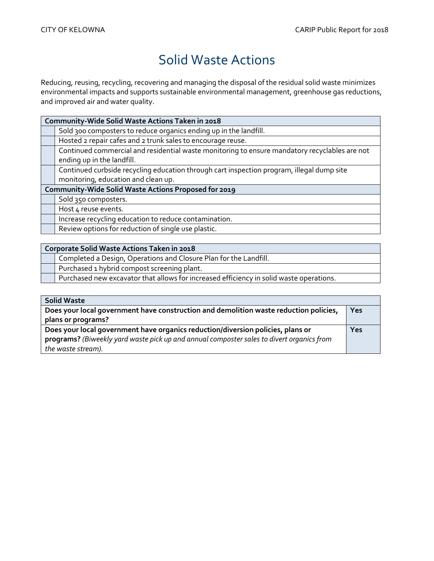## Solid Waste Actions

<span id="page-7-0"></span>Reducing, reusing, recycling, recovering and managing the disposal of the residual solid waste minimizes environmental impacts and supports sustainable environmental management, greenhouse gas reductions, and improved air and water quality.

|                                                      | Community-Wide Solid Waste Actions Taken in 2018                                              |  |
|------------------------------------------------------|-----------------------------------------------------------------------------------------------|--|
|                                                      | Sold 300 composters to reduce organics ending up in the landfill.                             |  |
|                                                      | Hosted 2 repair cafes and 2 trunk sales to encourage reuse.                                   |  |
|                                                      | Continued commercial and residential waste monitoring to ensure mandatory recyclables are not |  |
|                                                      | ending up in the landfill.                                                                    |  |
|                                                      | Continued curbside recycling education through cart inspection program, illegal dump site     |  |
|                                                      | monitoring, education and clean up.                                                           |  |
| Community-Wide Solid Waste Actions Proposed for 2019 |                                                                                               |  |
|                                                      | Sold 350 composters.                                                                          |  |
|                                                      | Host 4 reuse events.                                                                          |  |
|                                                      | Increase recycling education to reduce contamination.                                         |  |
|                                                      | Review options for reduction of single use plastic.                                           |  |

Completed a Design, Operations and Closure Plan for the Landfill.

Purchased 1 hybrid compost screening plant.

Purchased new excavator that allows for increased efficiency in solid waste operations.

| <b>Solid Waste</b>                                                                        |     |
|-------------------------------------------------------------------------------------------|-----|
| Does your local government have construction and demolition waste reduction policies,     | Yes |
| plans or programs?                                                                        |     |
| Does your local government have organics reduction/diversion policies, plans or           |     |
| programs? (Biweekly yard waste pick up and annual composter sales to divert organics from |     |
| the waste stream).                                                                        |     |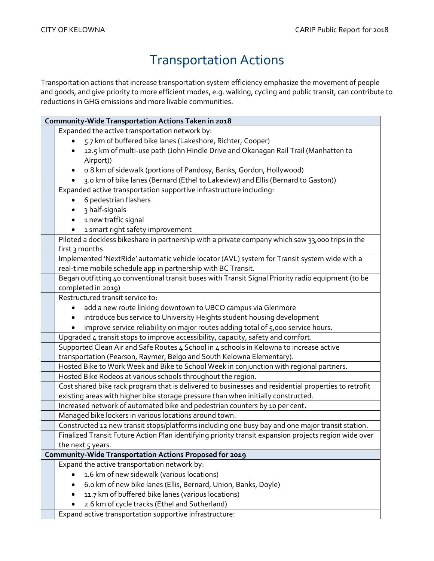## Transportation Actions

<span id="page-8-0"></span>Transportation actions that increase transportation system efficiency emphasize the movement of people and goods, and give priority to more efficient modes, e.g. walking, cycling and public transit, can contribute to reductions in GHG emissions and more livable communities.

| Community-Wide Transportation Actions Taken in 2018                                                   |
|-------------------------------------------------------------------------------------------------------|
| Expanded the active transportation network by:                                                        |
| 5.7 km of buffered bike lanes (Lakeshore, Richter, Cooper)                                            |
| 12.5 km of multi-use path (John Hindle Drive and Okanagan Rail Trail (Manhatten to                    |
| Airport))                                                                                             |
|                                                                                                       |
| o.8 km of sidewalk (portions of Pandosy, Banks, Gordon, Hollywood)                                    |
| 3.0 km of bike lanes (Bernard (Ethel to Lakeview) and Ellis (Bernard to Gaston))                      |
| Expanded active transportation supportive infrastructure including:                                   |
| 6 pedestrian flashers                                                                                 |
| 3 half-signals                                                                                        |
| 1 new traffic signal                                                                                  |
| 1 smart right safety improvement<br>$\bullet$                                                         |
| Piloted a dockless bikeshare in partnership with a private company which saw 33,000 trips in the      |
| first 3 months.                                                                                       |
| Implemented 'NextRide' automatic vehicle locator (AVL) system for Transit system wide with a          |
| real-time mobile schedule app in partnership with BC Transit.                                         |
| Began outfitting 40 conventional transit buses with Transit Signal Priority radio equipment (to be    |
| completed in 2019)                                                                                    |
| Restructured transit service to:                                                                      |
| add a new route linking downtown to UBCO campus via Glenmore                                          |
| introduce bus service to University Heights student housing development                               |
| improve service reliability on major routes adding total of 5,000 service hours.                      |
| Upgraded 4 transit stops to improve accessibility, capacity, safety and comfort.                      |
| Supported Clean Air and Safe Routes 4 School in 4 schools in Kelowna to increase active               |
| transportation (Pearson, Raymer, Belgo and South Kelowna Elementary).                                 |
| Hosted Bike to Work Week and Bike to School Week in conjunction with regional partners.               |
| Hosted Bike Rodeos at various schools throughout the region.                                          |
| Cost shared bike rack program that is delivered to businesses and residential properties to retrofit  |
| existing areas with higher bike storage pressure than when initially constructed.                     |
| Increased network of automated bike and pedestrian counters by 10 per cent.                           |
| Managed bike lockers in various locations around town.                                                |
| Constructed 12 new transit stops/platforms including one busy bay and one major transit station.      |
| Finalized Transit Future Action Plan identifying priority transit expansion projects region wide over |
| the next 5 years.                                                                                     |
| Community-Wide Transportation Actions Proposed for 2019                                               |
| Expand the active transportation network by:                                                          |
| 1.6 km of new sidewalk (various locations)                                                            |
| 6.0 km of new bike lanes (Ellis, Bernard, Union, Banks, Doyle)                                        |
| 11.7 km of buffered bike lanes (various locations)                                                    |
| 2.6 km of cycle tracks (Ethel and Sutherland)                                                         |
| Expand active transportation supportive infrastructure:                                               |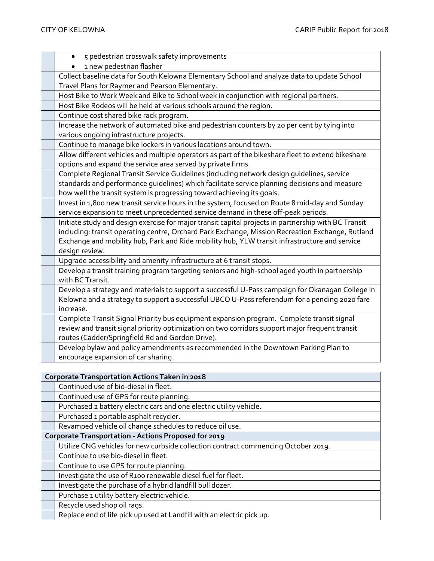| 5 pedestrian crosswalk safety improvements<br>$\bullet$                                              |
|------------------------------------------------------------------------------------------------------|
| 1 new pedestrian flasher                                                                             |
| Collect baseline data for South Kelowna Elementary School and analyze data to update School          |
| Travel Plans for Raymer and Pearson Elementary.                                                      |
| Host Bike to Work Week and Bike to School week in conjunction with regional partners.                |
| Host Bike Rodeos will be held at various schools around the region.                                  |
| Continue cost shared bike rack program.                                                              |
| Increase the network of automated bike and pedestrian counters by 20 per cent by tying into          |
| various ongoing infrastructure projects.                                                             |
| Continue to manage bike lockers in various locations around town.                                    |
| Allow different vehicles and multiple operators as part of the bikeshare fleet to extend bikeshare   |
| options and expand the service area served by private firms.                                         |
| Complete Regional Transit Service Guidelines (including network design quidelines, service           |
| standards and performance guidelines) which facilitate service planning decisions and measure        |
| how well the transit system is progressing toward achieving its goals.                               |
| Invest in 1,800 new transit service hours in the system, focused on Route 8 mid-day and Sunday       |
| service expansion to meet unprecedented service demand in these off-peak periods.                    |
| Initiate study and design exercise for major transit capital projects in partnership with BC Transit |
| including: transit operating centre, Orchard Park Exchange, Mission Recreation Exchange, Rutland     |
| Exchange and mobility hub, Park and Ride mobility hub, YLW transit infrastructure and service        |
| design review.                                                                                       |
| Upgrade accessibility and amenity infrastructure at 6 transit stops.                                 |
| Develop a transit training program targeting seniors and high-school aged youth in partnership       |
| with BC Transit.                                                                                     |
| Develop a strategy and materials to support a successful U-Pass campaign for Okanagan College in     |
| Kelowna and a strategy to support a successful UBCO U-Pass referendum for a pending 2020 fare        |
| increase.                                                                                            |
| Complete Transit Signal Priority bus equipment expansion program. Complete transit signal            |
| review and transit signal priority optimization on two corridors support major frequent transit      |
| routes (Cadder/Springfield Rd and Gordon Drive).                                                     |
| Develop bylaw and policy amendments as recommended in the Downtown Parking Plan to                   |
| encourage expansion of car sharing.                                                                  |
|                                                                                                      |
| Cornorate Transportation Actions Taken in 2018                                                       |

| Corporate Transportation Actions Taken in 2018 |                                                                                    |  |
|------------------------------------------------|------------------------------------------------------------------------------------|--|
|                                                | Continued use of bio-diesel in fleet.                                              |  |
|                                                | Continued use of GPS for route planning.                                           |  |
|                                                | Purchased 2 battery electric cars and one electric utility vehicle.                |  |
|                                                | Purchased 1 portable asphalt recycler.                                             |  |
|                                                | Revamped vehicle oil change schedules to reduce oil use.                           |  |
|                                                | Corporate Transportation - Actions Proposed for 2019                               |  |
|                                                | Utilize CNG vehicles for new curbside collection contract commencing October 2019. |  |
|                                                | Continue to use bio-diesel in fleet.                                               |  |
|                                                | Continue to use GPS for route planning.                                            |  |
|                                                | Investigate the use of R100 renewable diesel fuel for fleet.                       |  |
|                                                | Investigate the purchase of a hybrid landfill bull dozer.                          |  |
|                                                | Purchase 1 utility battery electric vehicle.                                       |  |
|                                                | Recycle used shop oil rags.                                                        |  |
|                                                | Replace end of life pick up used at Landfill with an electric pick up.             |  |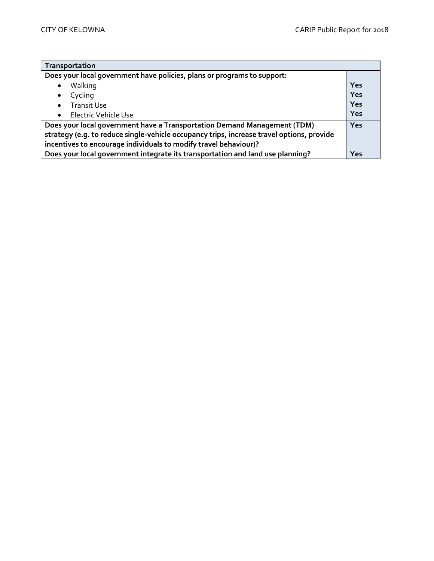<span id="page-10-0"></span>

| Transportation                                                                            |     |  |
|-------------------------------------------------------------------------------------------|-----|--|
| Does your local government have policies, plans or programs to support:                   |     |  |
| Walking                                                                                   | Yes |  |
| Cycling                                                                                   | Yes |  |
| <b>Transit Use</b><br>$\bullet$                                                           | Yes |  |
| Electric Vehicle Use                                                                      | Yes |  |
| Does your local government have a Transportation Demand Management (TDM)                  |     |  |
| strategy (e.g. to reduce single-vehicle occupancy trips, increase travel options, provide |     |  |
| incentives to encourage individuals to modify travel behaviour)?                          |     |  |
| Does your local government integrate its transportation and land use planning?            |     |  |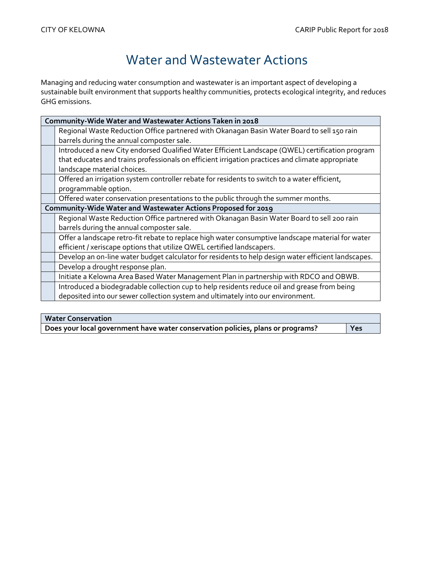## Water and Wastewater Actions

Managing and reducing water consumption and wastewater is an important aspect of developing a sustainable built environment that supports healthy communities, protects ecological integrity, and reduces GHG emissions.

| Community-Wide Water and Wastewater Actions Taken in 2018                                           |  |  |
|-----------------------------------------------------------------------------------------------------|--|--|
| Regional Waste Reduction Office partnered with Okanagan Basin Water Board to sell 150 rain          |  |  |
| barrels during the annual composter sale.                                                           |  |  |
| Introduced a new City endorsed Qualified Water Efficient Landscape (QWEL) certification program     |  |  |
| that educates and trains professionals on efficient irrigation practices and climate appropriate    |  |  |
| landscape material choices.                                                                         |  |  |
| Offered an irrigation system controller rebate for residents to switch to a water efficient,        |  |  |
| programmable option.                                                                                |  |  |
| Offered water conservation presentations to the public through the summer months.                   |  |  |
| Community-Wide Water and Wastewater Actions Proposed for 2019                                       |  |  |
| Regional Waste Reduction Office partnered with Okanagan Basin Water Board to sell 200 rain          |  |  |
| barrels during the annual composter sale.                                                           |  |  |
| Offer a landscape retro-fit rebate to replace high water consumptive landscape material for water   |  |  |
| efficient / xeriscape options that utilize QWEL certified landscapers.                              |  |  |
| Develop an on-line water budget calculator for residents to help design water efficient landscapes. |  |  |
| Develop a drought response plan.                                                                    |  |  |
| Initiate a Kelowna Area Based Water Management Plan in partnership with RDCO and OBWB.              |  |  |
| Introduced a biodegradable collection cup to help residents reduce oil and grease from being        |  |  |
| deposited into our sewer collection system and ultimately into our environment.                     |  |  |
|                                                                                                     |  |  |

| <b>Water Conservation</b>                                                       |            |
|---------------------------------------------------------------------------------|------------|
| Does your local government have water conservation policies, plans or programs? | <b>Yes</b> |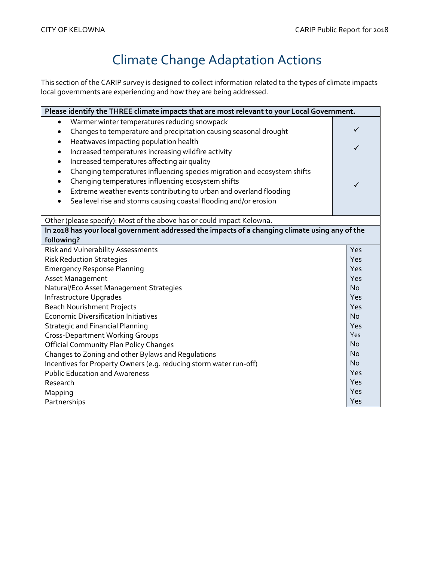# Climate Change Adaptation Actions

<span id="page-12-0"></span>This section of the CARIP survey is designed to collect information related to the types of climate impacts local governments are experiencing and how they are being addressed.

| Please identify the THREE climate impacts that are most relevant to your Local Government.     |           |  |
|------------------------------------------------------------------------------------------------|-----------|--|
| Warmer winter temperatures reducing snowpack<br>$\bullet$                                      |           |  |
| Changes to temperature and precipitation causing seasonal drought<br>$\bullet$                 | ✓         |  |
| Heatwaves impacting population health<br>$\bullet$                                             |           |  |
| Increased temperatures increasing wildfire activity<br>$\bullet$                               |           |  |
| Increased temperatures affecting air quality<br>$\bullet$                                      |           |  |
| Changing temperatures influencing species migration and ecosystem shifts<br>$\bullet$          |           |  |
| Changing temperatures influencing ecosystem shifts<br>$\bullet$                                | ✓         |  |
| Extreme weather events contributing to urban and overland flooding<br>$\bullet$                |           |  |
| Sea level rise and storms causing coastal flooding and/or erosion<br>$\bullet$                 |           |  |
|                                                                                                |           |  |
| Other (please specify): Most of the above has or could impact Kelowna.                         |           |  |
| In 2018 has your local government addressed the impacts of a changing climate using any of the |           |  |
| following?                                                                                     |           |  |
| Risk and Vulnerability Assessments                                                             | Yes       |  |
| <b>Risk Reduction Strategies</b>                                                               |           |  |
| <b>Emergency Response Planning</b>                                                             |           |  |
| Asset Management                                                                               |           |  |
| Natural/Eco Asset Management Strategies                                                        |           |  |
| Infrastructure Upgrades                                                                        |           |  |
| <b>Beach Nourishment Projects</b>                                                              | Yes       |  |
| <b>Economic Diversification Initiatives</b>                                                    | <b>No</b> |  |
| <b>Strategic and Financial Planning</b>                                                        | Yes       |  |
| <b>Cross-Department Working Groups</b>                                                         | Yes       |  |
| <b>Official Community Plan Policy Changes</b>                                                  | <b>No</b> |  |
| Changes to Zoning and other Bylaws and Regulations                                             |           |  |
| Incentives for Property Owners (e.g. reducing storm water run-off)                             | <b>No</b> |  |
| <b>Public Education and Awareness</b>                                                          | Yes       |  |
| Research                                                                                       | Yes       |  |
| Mapping                                                                                        | Yes       |  |
| Partnerships                                                                                   | Yes       |  |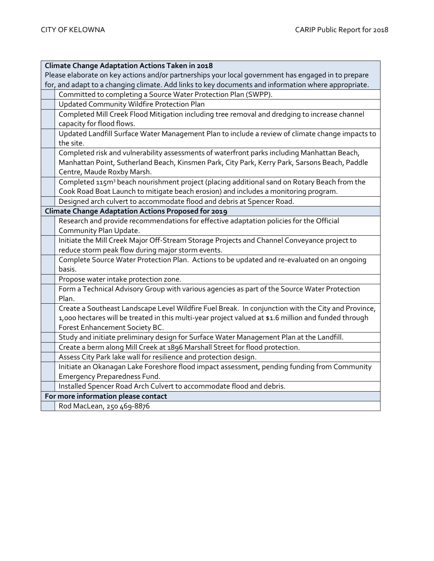| Climate Change Adaptation Actions Taken in 2018                                                         |
|---------------------------------------------------------------------------------------------------------|
| Please elaborate on key actions and/or partnerships your local government has engaged in to prepare     |
| for, and adapt to a changing climate. Add links to key documents and information where appropriate.     |
| Committed to completing a Source Water Protection Plan (SWPP).                                          |
| Updated Community Wildfire Protection Plan                                                              |
| Completed Mill Creek Flood Mitigation including tree removal and dredging to increase channel           |
| capacity for flood flows.                                                                               |
| Updated Landfill Surface Water Management Plan to include a review of climate change impacts to         |
| the site.                                                                                               |
| Completed risk and vulnerability assessments of waterfront parks including Manhattan Beach,             |
| Manhattan Point, Sutherland Beach, Kinsmen Park, City Park, Kerry Park, Sarsons Beach, Paddle           |
| Centre, Maude Roxby Marsh.                                                                              |
| Completed 115m <sup>3</sup> beach nourishment project (placing additional sand on Rotary Beach from the |
| Cook Road Boat Launch to mitigate beach erosion) and includes a monitoring program.                     |
| Designed arch culvert to accommodate flood and debris at Spencer Road.                                  |
| Climate Change Adaptation Actions Proposed for 2019                                                     |
| Research and provide recommendations for effective adaptation policies for the Official                 |
| Community Plan Update.                                                                                  |
| Initiate the Mill Creek Major Off-Stream Storage Projects and Channel Conveyance project to             |
| reduce storm peak flow during major storm events.                                                       |
| Complete Source Water Protection Plan. Actions to be updated and re-evaluated on an ongoing             |
| basis.                                                                                                  |
| Propose water intake protection zone.                                                                   |
| Form a Technical Advisory Group with various agencies as part of the Source Water Protection            |
| Plan.                                                                                                   |
| Create a Southeast Landscape Level Wildfire Fuel Break. In conjunction with the City and Province,      |
| 1,000 hectares will be treated in this multi-year project valued at \$1.6 million and funded through    |
| Forest Enhancement Society BC.                                                                          |
| Study and initiate preliminary design for Surface Water Management Plan at the Landfill.                |
| Create a berm along Mill Creek at 1896 Marshall Street for flood protection.                            |
| Assess City Park lake wall for resilience and protection design.                                        |
| Initiate an Okanagan Lake Foreshore flood impact assessment, pending funding from Community             |
| <b>Emergency Preparedness Fund.</b>                                                                     |
| Installed Spencer Road Arch Culvert to accommodate flood and debris.                                    |
| For more information please contact                                                                     |
| Rod MacLean, 250 469-8876                                                                               |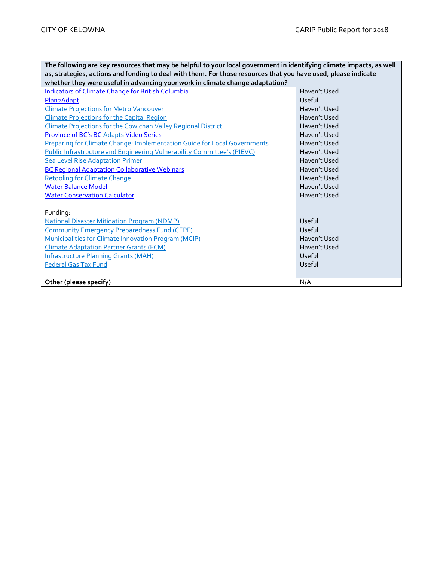| The following are key resources that may be helpful to your local government in identifying climate impacts, as well |              |  |
|----------------------------------------------------------------------------------------------------------------------|--------------|--|
| as, strategies, actions and funding to deal with them. For those resources that you have used, please indicate       |              |  |
| whether they were useful in advancing your work in climate change adaptation?                                        |              |  |
| <b>Indicators of Climate Change for British Columbia</b>                                                             | Haven't Used |  |
| <b>Plan2Adapt</b>                                                                                                    | Useful       |  |
| <b>Climate Projections for Metro Vancouver</b>                                                                       | Haven't Used |  |
| <b>Climate Projections for the Capital Region</b>                                                                    | Haven't Used |  |
| Climate Projections for the Cowichan Valley Regional District                                                        | Haven't Used |  |
| Province of BC's BC Adapts Video Series                                                                              | Haven't Used |  |
| Preparing for Climate Change: Implementation Guide for Local Governments                                             | Haven't Used |  |
| Public Infrastructure and Engineering Vulnerability Committee's (PIEVC)                                              | Haven't Used |  |
| <b>Sea Level Rise Adaptation Primer</b>                                                                              | Haven't Used |  |
| <b>BC Regional Adaptation Collaborative Webinars</b>                                                                 | Haven't Used |  |
| <b>Retooling for Climate Change</b>                                                                                  | Haven't Used |  |
| <b>Water Balance Model</b>                                                                                           | Haven't Used |  |
| <b>Water Conservation Calculator</b>                                                                                 | Haven't Used |  |
|                                                                                                                      |              |  |
| Funding:                                                                                                             |              |  |
| <b>National Disaster Mitigation Program (NDMP)</b>                                                                   | Useful       |  |
| <b>Community Emergency Preparedness Fund (CEPF)</b>                                                                  | Useful       |  |
| <b>Municipalities for Climate Innovation Program (MCIP)</b>                                                          | Haven't Used |  |
| <b>Climate Adaptation Partner Grants (FCM)</b>                                                                       | Haven't Used |  |
| <b>Infrastructure Planning Grants (MAH)</b>                                                                          | Useful       |  |
| <b>Federal Gas Tax Fund</b>                                                                                          | Useful       |  |
|                                                                                                                      |              |  |
| Other (please specify)                                                                                               | N/A          |  |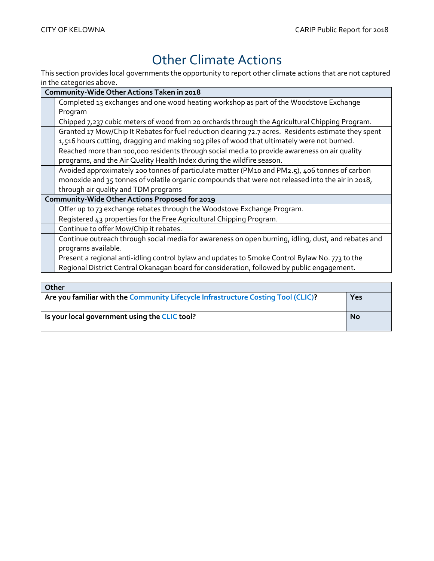## Other Climate Actions

<span id="page-15-0"></span>This section provides local governments the opportunity to report other climate actions that are not captured in the categories above.

| Community-Wide Other Actions Taken in 2018                                                           |  |  |
|------------------------------------------------------------------------------------------------------|--|--|
| Completed 13 exchanges and one wood heating workshop as part of the Woodstove Exchange               |  |  |
| Program                                                                                              |  |  |
| Chipped 7,237 cubic meters of wood from 20 orchards through the Agricultural Chipping Program.       |  |  |
| Granted 17 Mow/Chip It Rebates for fuel reduction clearing 72.7 acres. Residents estimate they spent |  |  |
| 1,516 hours cutting, dragging and making 103 piles of wood that ultimately were not burned.          |  |  |
| Reached more than 100,000 residents through social media to provide awareness on air quality         |  |  |
| programs, and the Air Quality Health Index during the wildfire season.                               |  |  |
| Avoided approximately 200 tonnes of particulate matter (PM10 and PM2.5), 406 tonnes of carbon        |  |  |
| monoxide and 35 tonnes of volatile organic compounds that were not released into the air in 2018,    |  |  |
| through air quality and TDM programs                                                                 |  |  |
| Community-Wide Other Actions Proposed for 2019                                                       |  |  |
| Offer up to 73 exchange rebates through the Woodstove Exchange Program.                              |  |  |
| Registered 43 properties for the Free Agricultural Chipping Program.                                 |  |  |
| Continue to offer Mow/Chip it rebates.                                                               |  |  |
| Continue outreach through social media for awareness on open burning, idling, dust, and rebates and  |  |  |
| programs available.                                                                                  |  |  |
| Present a regional anti-idling control bylaw and updates to Smoke Control Bylaw No. 773 to the       |  |  |
| Regional District Central Okanagan board for consideration, followed by public engagement.           |  |  |
|                                                                                                      |  |  |
| $0$ ther                                                                                             |  |  |

| VUIEL                                                                             |           |
|-----------------------------------------------------------------------------------|-----------|
| Are you familiar with the Community Lifecycle Infrastructure Costing Tool (CLIC)? |           |
|                                                                                   |           |
| Is your local government using the CLIC tool?                                     | <b>No</b> |
|                                                                                   |           |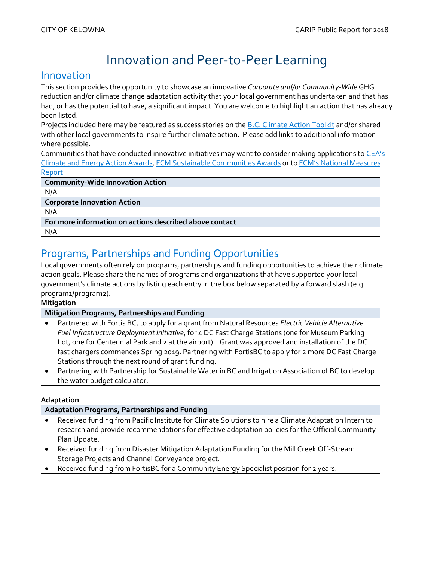## Innovation and Peer-to-Peer Learning

### <span id="page-16-0"></span>Innovation

This section provides the opportunity to showcase an innovative *Corporate and/or Community-Wide* GHG reduction and/or climate change adaptation activity that your local government has undertaken and that has had, or has the potential to have, a significant impact. You are welcome to highlight an action that has already been listed.

Projects included here may be featured as success stories on th[e B.C. Climate Action Toolkit](http://www.toolkit.bc.ca/) and/or shared with other local governments to inspire further climate action. Please add links to additional information where possible.

Communities that have conducted innovative initiatives may want to consider making applications to [CEA's](http://communityenergy.bc.ca/climate-and-energy-action-awards/)  [Climate and Energy Action Awards,](http://communityenergy.bc.ca/climate-and-energy-action-awards/) [FCM Sustainable Communities Awards](https://fcm.ca/home/awards/sustainable-communities-awards.htm) or to [FCM's National Measures](https://fcm.ca/home/programs/partners-for-climate-protection/national-measures-report.htm)  [Report.](https://fcm.ca/home/programs/partners-for-climate-protection/national-measures-report.htm)

| <b>Community-Wide Innovation Action</b>                 |  |
|---------------------------------------------------------|--|
| N/A                                                     |  |
| <b>Corporate Innovation Action</b>                      |  |
| N/A                                                     |  |
| For more information on actions described above contact |  |
| N/A                                                     |  |

## Programs, Partnerships and Funding Opportunities

Local governments often rely on programs, partnerships and funding opportunities to achieve their climate action goals. Please share the names of programs and organizations that have supported your local government's climate actions by listing each entry in the box below separated by a forward slash (e.g. program1/program2).

### **Mitigation**

### **Mitigation Programs, Partnerships and Funding**

- Partnered with Fortis BC, to apply for a grant from Natural Resources *Electric Vehicle Alternative Fuel Infrastructure Deployment Initiative*, for 4 DC Fast Charge Stations (one for Museum Parking Lot, one for Centennial Park and 2 at the airport). Grant was approved and installation of the DC fast chargers commences Spring 2019. Partnering with FortisBC to apply for 2 more DC Fast Charge Stations through the next round of grant funding.
- Partnering with Partnership for Sustainable Water in BC and Irrigation Association of BC to develop the water budget calculator.

### **Adaptation**

### **Adaptation Programs, Partnerships and Funding**

- Received funding from Pacific Institute for Climate Solutions to hire a Climate Adaptation Intern to research and provide recommendations for effective adaptation policies for the Official Community Plan Update.
- Received funding from Disaster Mitigation Adaptation Funding for the Mill Creek Off-Stream Storage Projects and Channel Conveyance project.
- <span id="page-16-1"></span>Received funding from FortisBC for a Community Energy Specialist position for 2 years.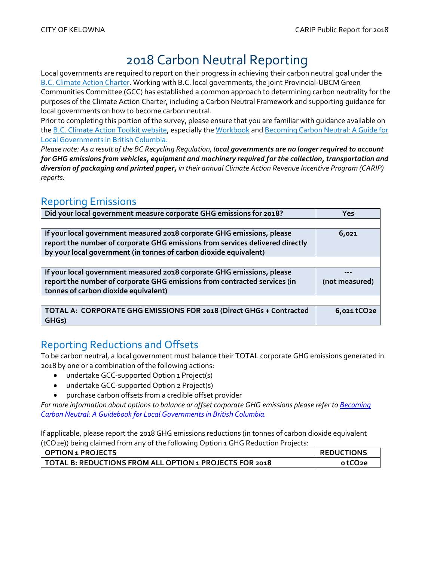## 2018 Carbon Neutral Reporting

Local governments are required to report on their progress in achieving their carbon neutral goal under the [B.C. Climate Action Charter.](https://www2.gov.bc.ca/gov/content/governments/local-governments/climate-action/bc-climate-action-charter) Working with B.C. local governments, the joint Provincial-UBCM Green Communities Committee (GCC) has established a common approach to determining carbon neutrality for the purposes of the Climate Action Charter, including a Carbon Neutral Framework and supporting guidance for local governments on how to become carbon neutral.

Prior to completing this portion of the survey, please ensure that you are familiar with guidance available on the [B.C. Climate Action Toolkit website,](http://www.toolkit.bc.ca/) especially th[e Workbook](https://www.toolkit.bc.ca/sites/default/files/CarbonNeutralWorkbook.V2_noapdcs_03.12_1.pdf) an[d Becoming Carbon Neutral: A Guide for](http://www.toolkit.bc.ca/sites/default/files/Becoming%20Carbon%20Neutral%20V3%20FINAL%20July%202014_0.pdf)  [Local Governments in British Columbia.](http://www.toolkit.bc.ca/sites/default/files/Becoming%20Carbon%20Neutral%20V3%20FINAL%20July%202014_0.pdf)

*Please note: As a result of the BC Recycling Regulation, local governments are no longer required to account for GHG emissions from vehicles, equipment and machinery required for the collection, transportation and diversion of packaging and printed paper, in their annual Climate Action Revenue Incentive Program (CARIP) reports.*

### Reporting Emissions

| Did your local government measure corporate GHG emissions for 2018?                                                                                     | Yes            |
|---------------------------------------------------------------------------------------------------------------------------------------------------------|----------------|
|                                                                                                                                                         |                |
| If your local government measured 2018 corporate GHG emissions, please<br>report the number of corporate GHG emissions from services delivered directly | 6,021          |
| by your local government (in tonnes of carbon dioxide equivalent)                                                                                       |                |
|                                                                                                                                                         |                |
| If your local government measured 2018 corporate GHG emissions, please                                                                                  |                |
| report the number of corporate GHG emissions from contracted services (in                                                                               | (not measured) |
| tonnes of carbon dioxide equivalent)                                                                                                                    |                |
|                                                                                                                                                         |                |
| TOTAL A: CORPORATE GHG EMISSIONS FOR 2018 (Direct GHGs + Contracted<br>GHGs)                                                                            | 6,021 tCO2e    |

## Reporting Reductions and Offsets

To be carbon neutral, a local government must balance their TOTAL corporate GHG emissions generated in 2018 by one or a combination of the following actions:

- undertake GCC-supported Option 1 Project(s)
- undertake GCC-supported Option 2 Project(s)
- purchase carbon offsets from a credible offset provider

*For more information about options to balance or offset corporate GHG emissions please refer t[o Becoming](http://www.toolkit.bc.ca/sites/default/files/Becoming%20Carbon%20Neutral%20V3%20FINAL%20July%202014_0.pdf)  [Carbon Neutral: A Guidebook for Local Governments in British Columbia.](http://www.toolkit.bc.ca/sites/default/files/Becoming%20Carbon%20Neutral%20V3%20FINAL%20July%202014_0.pdf)*

If applicable, please report the 2018 GHG emissions reductions (in tonnes of carbon dioxide equivalent (tCO2e)) being claimed from any of the following Option 1 GHG Reduction Projects:

| OPTION 1 PROJECTS                                       | <b>REDUCTIONS</b> |  |
|---------------------------------------------------------|-------------------|--|
| TOTAL B: REDUCTIONS FROM ALL OPTION 1 PROJECTS FOR 2018 | o tCO2e           |  |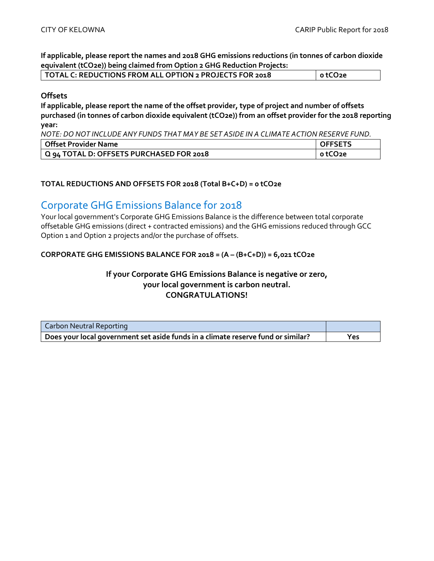**If applicable, please report the names and 2018 GHG emissions reductions (in tonnes of carbon dioxide equivalent (tCO2e)) being claimed from Option 2 GHG Reduction Projects:**

| $\mid$ TOTAL C: REDUCTIONS FROM ALL OPTION 2 PROJECTS FOR 2018 | otCO <sub>2e</sub> |
|----------------------------------------------------------------|--------------------|
|                                                                |                    |

### **Offsets**

**If applicable, please report the name of the offset provider, type of project and number of offsets purchased (in tonnes of carbon dioxide equivalent (tCO2e)) from an offset provider for the 2018 reporting year:**

*NOTE: DO NOT INCLUDE ANY FUNDS THAT MAY BE SET ASIDE IN A CLIMATE ACTION RESERVE FUND.*

| Offset Provider Name                     |         |
|------------------------------------------|---------|
| Q 94 TOTAL D: OFFSETS PURCHASED FOR 2018 | o tCO2e |

### **TOTAL REDUCTIONS AND OFFSETS FOR 2018 (Total B+C+D) = 0 tCO2e**

### Corporate GHG Emissions Balance for 2018

Your local government's Corporate GHG Emissions Balance is the difference between total corporate offsetable GHG emissions (direct + contracted emissions) and the GHG emissions reduced through GCC Option 1 and Option 2 projects and/or the purchase of offsets.

### **CORPORATE GHG EMISSIONS BALANCE FOR 2018 = (A – (B+C+D)) = 6,021 tCO2e**

### **If your Corporate GHG Emissions Balance is negative or zero, your local government is carbon neutral. CONGRATULATIONS!**

| Carbon Neutral Reporting                                                         |     |
|----------------------------------------------------------------------------------|-----|
| Does your local government set aside funds in a climate reserve fund or similar? | Yes |